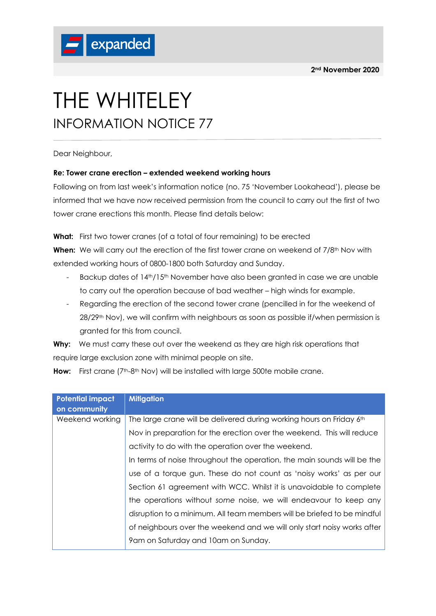

## THE WHITELEY INFORMATION NOTICE 77

Dear Neighbour,

## **Re: Tower crane erection – extended weekend working hours**

Following on from last week's information notice (no. 75 'November Lookahead'), please be informed that we have now received permission from the council to carry out the first of two tower crane erections this month. Please find details below:

What: First two tower cranes (of a total of four remaining) to be erected

**When:** We will carry out the erection of the first tower crane on weekend of 7/8<sup>th</sup> Nov with extended working hours of 0800-1800 both Saturday and Sunday.

- Backup dates of 14th/15th November have also been granted in case we are unable to carry out the operation because of bad weather – high winds for example.
- Regarding the erection of the second tower crane (pencilled in for the weekend of 28/29<sup>th</sup> Nov), we will confirm with neighbours as soon as possible if/when permission is granted for this from council.

**Why:** We must carry these out over the weekend as they are high risk operations that require large exclusion zone with minimal people on site.

|  | <b>How:</b> First crane $(7^{th} \text{-} 8^{th} \text{ Nov})$ will be installed with large 500te mobile crane. |  |  |  |  |  |  |
|--|-----------------------------------------------------------------------------------------------------------------|--|--|--|--|--|--|
|--|-----------------------------------------------------------------------------------------------------------------|--|--|--|--|--|--|

| <b>Potential impact</b> | <b>Mitigation</b>                                                       |
|-------------------------|-------------------------------------------------------------------------|
| on community            |                                                                         |
| Weekend working         | The large crane will be delivered during working hours on Friday 6th    |
|                         | Nov in preparation for the erection over the weekend. This will reduce  |
|                         | activity to do with the operation over the weekend.                     |
|                         | In terms of noise throughout the operation, the main sounds will be the |
|                         | use of a torque gun. These do not count as 'noisy works' as per our     |
|                         | Section 61 agreement with WCC. Whilst it is unavoidable to complete     |
|                         | the operations without some noise, we will endeavour to keep any        |
|                         | disruption to a minimum. All team members will be briefed to be mindful |
|                         | of neighbours over the weekend and we will only start noisy works after |
|                         | 9 am on Saturday and 10 am on Sunday.                                   |